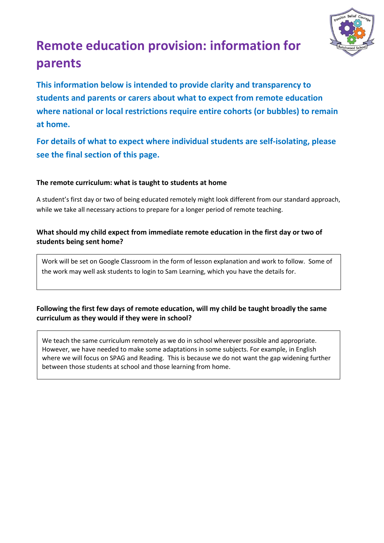

# **Remote education provision: information for parents**

**This information below is intended to provide clarity and transparency to students and parents or carers about what to expect from remote education where national or local restrictions require entire cohorts (or bubbles) to remain at home.** 

**For details of what to expect where individual students are self-isolating, please see the final section of this page.**

#### **The remote curriculum: what is taught to students at home**

A student's first day or two of being educated remotely might look different from our standard approach, while we take all necessary actions to prepare for a longer period of remote teaching.

### **What should my child expect from immediate remote education in the first day or two of students being sent home?**

Work will be set on Google Classroom in the form of lesson explanation and work to follow. Some of the work may well ask students to login to Sam Learning, which you have the details for.

## **Following the first few days of remote education, will my child be taught broadly the same curriculum as they would if they were in school?**

We teach the same curriculum remotely as we do in school wherever possible and appropriate. However, we have needed to make some adaptations in some subjects. For example, in English where we will focus on SPAG and Reading. This is because we do not want the gap widening further between those students at school and those learning from home.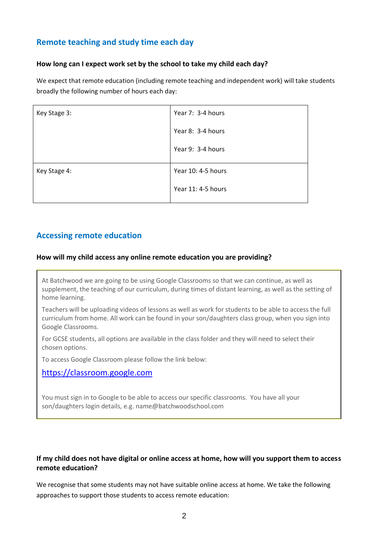## **Remote teaching and study time each day**

#### **How long can I expect work set by the school to take my child each day?**

We expect that remote education (including remote teaching and independent work) will take students broadly the following number of hours each day:

| Year 7: 3-4 hours  |
|--------------------|
| Year 8: 3-4 hours  |
| Year 9: 3-4 hours  |
| Year 10: 4-5 hours |
| Year 11: 4-5 hours |
|                    |

## **Accessing remote education**

#### **How will my child access any online remote education you are providing?**

At Batchwood we are going to be using Google Classrooms so that we can continue, as well as supplement, the teaching of our curriculum, during times of distant learning, as well as the setting of home learning.

Teachers will be uploading videos of lessons as well as work for students to be able to access the full curriculum from home. All work can be found in your son/daughters class group, when you sign into Google Classrooms.

For GCSE students, all options are available in the class folder and they will need to select their chosen options.

To access Google Classroom please follow the link below:

[https://classroom.google.com](https://classroom.google.com/)

You must sign in to Google to be able to access our specific classrooms. You have all your son/daughters login details, e.g. name@batchwoodschool.com

#### **If my child does not have digital or online access at home, how will you support them to access remote education?**

We recognise that some students may not have suitable online access at home. We take the following approaches to support those students to access remote education: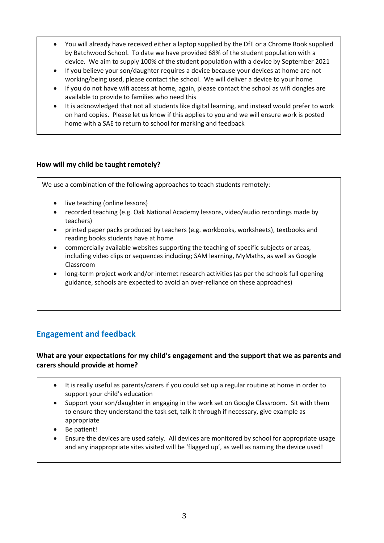- You will already have received either a laptop supplied by the DfE or a Chrome Book supplied by Batchwood School. To date we have provided 68% of the student population with a device. We aim to supply 100% of the student population with a device by September 2021
- If you believe your son/daughter requires a device because your devices at home are not working/being used, please contact the school. We will deliver a device to your home
- If you do not have wifi access at home, again, please contact the school as wifi dongles are available to provide to families who need this
- It is acknowledged that not all students like digital learning, and instead would prefer to work on hard copies. Please let us know if this applies to you and we will ensure work is posted home with a SAE to return to school for marking and feedback

#### **How will my child be taught remotely?**

We use a combination of the following approaches to teach students remotely:

- live teaching (online lessons)
- recorded teaching (e.g. Oak National Academy lessons, video/audio recordings made by teachers)
- printed paper packs produced by teachers (e.g. workbooks, worksheets), textbooks and reading books students have at home
- commercially available websites supporting the teaching of specific subjects or areas, including video clips or sequences including; SAM learning, MyMaths, as well as Google Classroom
- long-term project work and/or internet research activities (as per the schools full opening guidance, schools are expected to avoid an over-reliance on these approaches)

# **Engagement and feedback**

#### **What are your expectations for my child's engagement and the support that we as parents and carers should provide at home?**

- It is really useful as parents/carers if you could set up a regular routine at home in order to support your child's education
- Support your son/daughter in engaging in the work set on Google Classroom. Sit with them to ensure they understand the task set, talk it through if necessary, give example as appropriate
- Be patient!
- Ensure the devices are used safely. All devices are monitored by school for appropriate usage and any inappropriate sites visited will be 'flagged up', as well as naming the device used!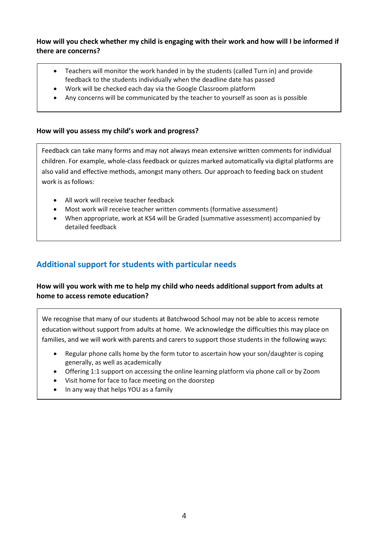#### **How will you check whether my child is engaging with their work and how will I be informed if there are concerns?**

- Teachers will monitor the work handed in by the students (called Turn in) and provide feedback to the students individually when the deadline date has passed
- Work will be checked each day via the Google Classroom platform
- Any concerns will be communicated by the teacher to yourself as soon as is possible

#### **How will you assess my child's work and progress?**

Feedback can take many forms and may not always mean extensive written comments for individual children. For example, whole-class feedback or quizzes marked automatically via digital platforms are also valid and effective methods, amongst many others. Our approach to feeding back on student work is as follows:

- All work will receive teacher feedback
- Most work will receive teacher written comments (formative assessment)
- When appropriate, work at KS4 will be Graded (summative assessment) accompanied by detailed feedback

## **Additional support for students with particular needs**

### **How will you work with me to help my child who needs additional support from adults at home to access remote education?**

We recognise that many of our students at Batchwood School may not be able to access remote education without support from adults at home. We acknowledge the difficulties this may place on families, and we will work with parents and carers to support those students in the following ways:

- Regular phone calls home by the form tutor to ascertain how your son/daughter is coping generally, as well as academically
- Offering 1:1 support on accessing the online learning platform via phone call or by Zoom
- Visit home for face to face meeting on the doorstep
- In any way that helps YOU as a family